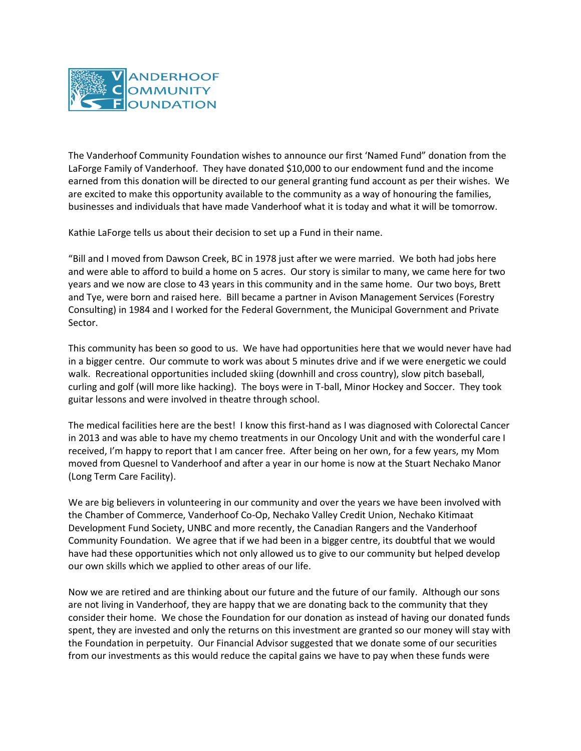

The Vanderhoof Community Foundation wishes to announce our first 'Named Fund" donation from the LaForge Family of Vanderhoof. They have donated \$10,000 to our endowment fund and the income earned from this donation will be directed to our general granting fund account as per their wishes. We are excited to make this opportunity available to the community as a way of honouring the families, businesses and individuals that have made Vanderhoof what it is today and what it will be tomorrow.

Kathie LaForge tells us about their decision to set up a Fund in their name.

"Bill and I moved from Dawson Creek, BC in 1978 just after we were married. We both had jobs here and were able to afford to build a home on 5 acres. Our story is similar to many, we came here for two years and we now are close to 43 years in this community and in the same home. Our two boys, Brett and Tye, were born and raised here. Bill became a partner in Avison Management Services (Forestry Consulting) in 1984 and I worked for the Federal Government, the Municipal Government and Private Sector.

This community has been so good to us. We have had opportunities here that we would never have had in a bigger centre. Our commute to work was about 5 minutes drive and if we were energetic we could walk. Recreational opportunities included skiing (downhill and cross country), slow pitch baseball, curling and golf (will more like hacking). The boys were in T-ball, Minor Hockey and Soccer. They took guitar lessons and were involved in theatre through school.

The medical facilities here are the best! I know this first-hand as I was diagnosed with Colorectal Cancer in 2013 and was able to have my chemo treatments in our Oncology Unit and with the wonderful care I received, I'm happy to report that I am cancer free. After being on her own, for a few years, my Mom moved from Quesnel to Vanderhoof and after a year in our home is now at the Stuart Nechako Manor (Long Term Care Facility).

We are big believers in volunteering in our community and over the years we have been involved with the Chamber of Commerce, Vanderhoof Co-Op, Nechako Valley Credit Union, Nechako Kitimaat Development Fund Society, UNBC and more recently, the Canadian Rangers and the Vanderhoof Community Foundation. We agree that if we had been in a bigger centre, its doubtful that we would have had these opportunities which not only allowed us to give to our community but helped develop our own skills which we applied to other areas of our life.

Now we are retired and are thinking about our future and the future of our family. Although our sons are not living in Vanderhoof, they are happy that we are donating back to the community that they consider their home. We chose the Foundation for our donation as instead of having our donated funds spent, they are invested and only the returns on this investment are granted so our money will stay with the Foundation in perpetuity. Our Financial Advisor suggested that we donate some of our securities from our investments as this would reduce the capital gains we have to pay when these funds were